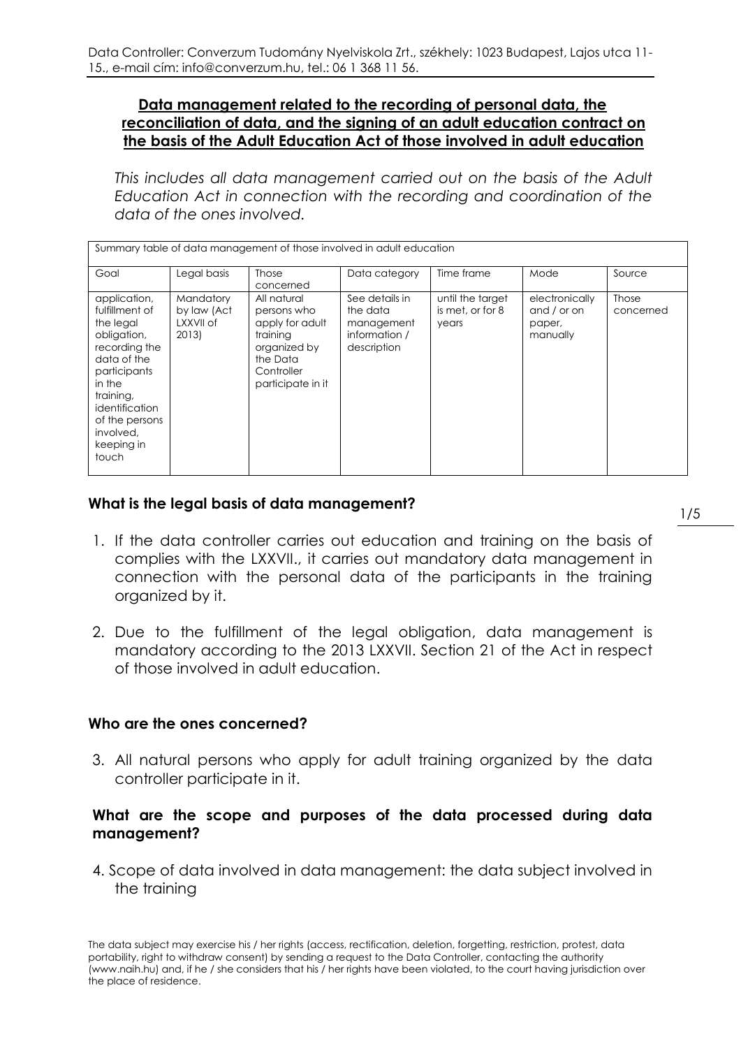#### **Data management related to the recording of personal data, the reconciliation of data, and the signing of an adult education contract on the basis of the Adult Education Act of those involved in adult education**

*This includes all data management carried out on the basis of the Adult Education Act in connection with the recording and coordination of the data of the ones involved.*

| Summary table of data management of those involved in adult education                                                                                                                                     |                                                |                                                                                                                          |                                                                          |                                               |                                                     |                           |
|-----------------------------------------------------------------------------------------------------------------------------------------------------------------------------------------------------------|------------------------------------------------|--------------------------------------------------------------------------------------------------------------------------|--------------------------------------------------------------------------|-----------------------------------------------|-----------------------------------------------------|---------------------------|
| Goal                                                                                                                                                                                                      | Legal basis                                    | <b>Those</b><br>concerned                                                                                                | Data category                                                            | Time frame                                    | Mode                                                | Source                    |
| application,<br>fulfillment of<br>the legal<br>obligation,<br>recording the<br>data of the<br>participants<br>in the<br>training,<br>identification<br>of the persons<br>involved.<br>keeping in<br>touch | Mandatory<br>by law (Act<br>LXXVII of<br>2013) | All natural<br>persons who<br>apply for adult<br>training<br>organized by<br>the Data<br>Controller<br>participate in it | See details in<br>the data<br>management<br>information /<br>description | until the target<br>is met, or for 8<br>years | electronically<br>and / or on<br>paper,<br>manually | <b>Those</b><br>concerned |

# **What is the legal basis of data management?**

- 1. If the data controller carries out education and training on the basis of complies with the LXXVII., it carries out mandatory data management in connection with the personal data of the participants in the training organized by it.
- 2. Due to the fulfillment of the legal obligation, data management is mandatory according to the 2013 LXXVII. Section 21 of the Act in respect of those involved in adult education.

# **Who are the ones concerned?**

3. All natural persons who apply for adult training organized by the data controller participate in it.

# **What are the scope and purposes of the data processed during data management?**

4. Scope of data involved in data management: the data subject involved in the training

The data subject may exercise his / her rights (access, rectification, deletion, forgetting, restriction, protest, data portability, right to withdraw consent) by sending a request to the Data Controller, contacting the authority (www.naih.hu) and, if he / she considers that his / her rights have been violated, to the court having jurisdiction over the place of residence.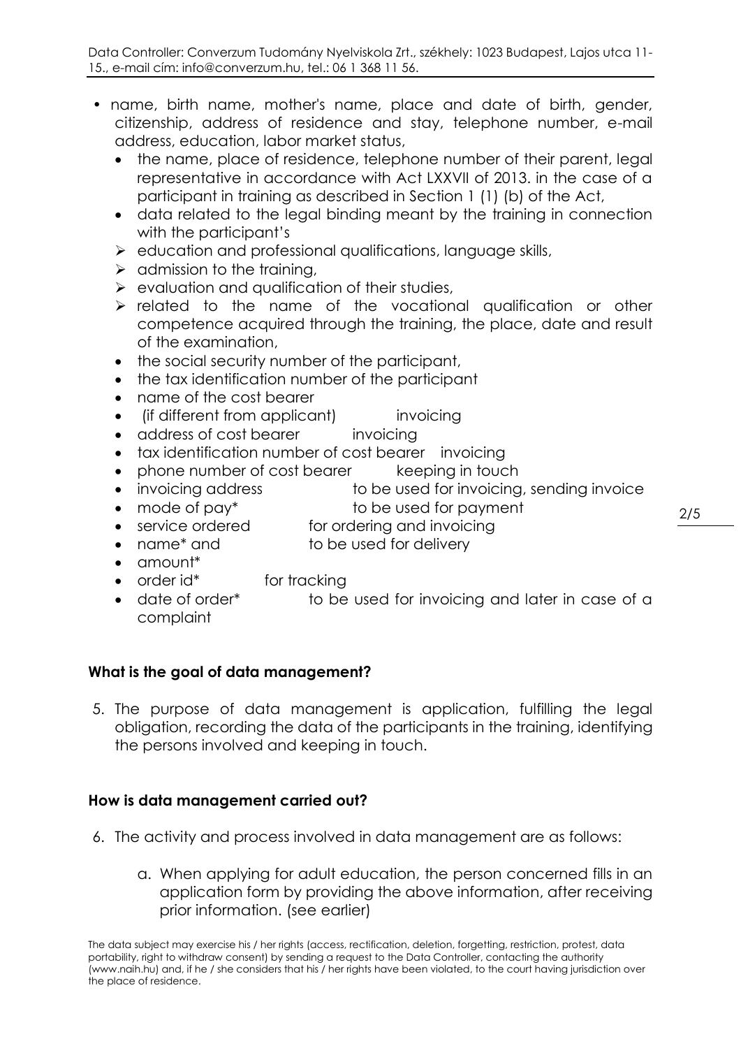- name, birth name, mother's name, place and date of birth, gender, citizenship, address of residence and stay, telephone number, e-mail address, education, labor market status,
	- the name, place of residence, telephone number of their parent, legal representative in accordance with Act LXXVII of 2013. in the case of a participant in training as described in Section 1 (1) (b) of the Act,
	- data related to the legal binding meant by the training in connection with the participant's
	- $\triangleright$  education and professional qualifications, language skills,
	- $\triangleright$  admission to the training,
	- $\triangleright$  evaluation and qualification of their studies,
	- $\triangleright$  related to the name of the vocational qualification or other competence acquired through the training, the place, date and result of the examination,
	- the social security number of the participant,
	- the tax identification number of the participant
	- name of the cost bearer
	- (if different from applicant) invoicing
	- address of cost bearer invoicing
	- tax identification number of cost bearer invoicing
	- phone number of cost bearer keeping in touch
	- invoicing address to be used for invoicing, sending invoice
	- mode of pay\* to be used for payment
	- service ordered for ordering and invoicing
	- name<sup>\*</sup> and to be used for delivery
	- amount\*
	- order id\* for tracking
	- date of order\* to be used for invoicing and later in case of a complaint

# **What is the goal of data management?**

5. The purpose of data management is application, fulfilling the legal obligation, recording the data of the participants in the training, identifying the persons involved and keeping in touch.

# **How is data management carried out?**

- 6. The activity and process involved in data management are as follows:
	- a. When applying for adult education, the person concerned fills in an application form by providing the above information, after receiving prior information. (see earlier)

The data subject may exercise his / her rights (access, rectification, deletion, forgetting, restriction, protest, data portability, right to withdraw consent) by sending a request to the Data Controller, contacting the authority (www.naih.hu) and, if he / she considers that his / her rights have been violated, to the court having jurisdiction over the place of residence.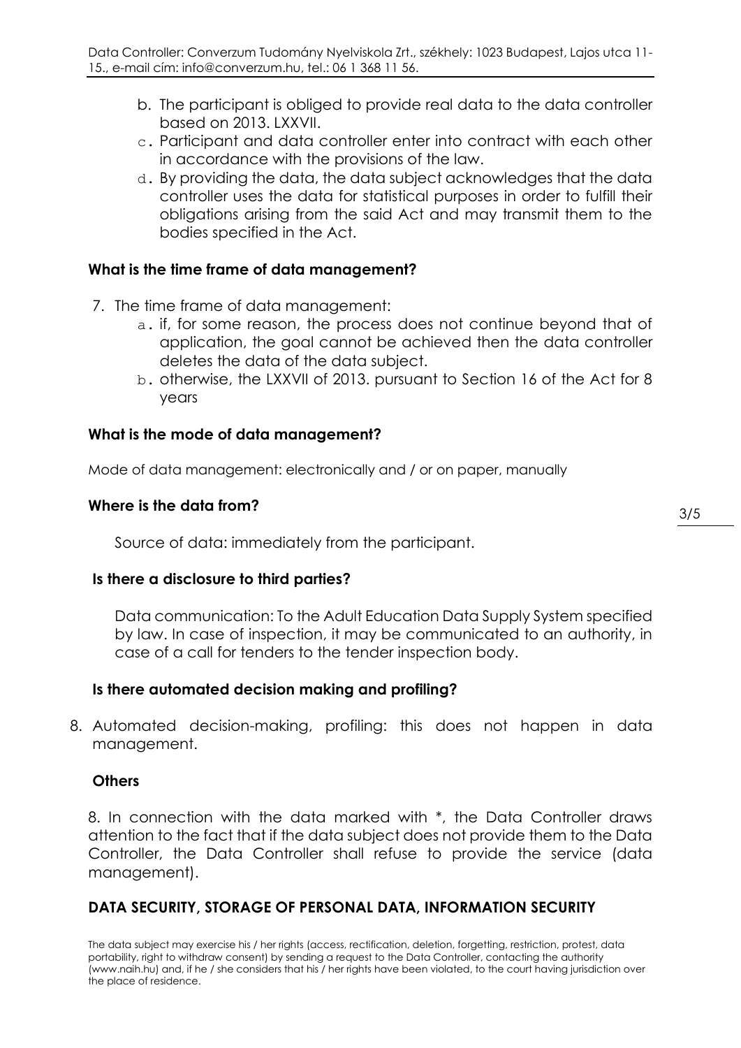- b. The participant is obliged to provide real data to the data controller based on 2013. LXXVII.
- c. Participant and data controller enter into contract with each other in accordance with the provisions of the law.
- d. By providing the data, the data subject acknowledges that the data controller uses the data for statistical purposes in order to fulfill their obligations arising from the said Act and may transmit them to the bodies specified in the Act.

## **What is the time frame of data management?**

- 7. The time frame of data management:
	- a. if, for some reason, the process does not continue beyond that of application, the goal cannot be achieved then the data controller deletes the data of the data subject.
	- b. otherwise, the LXXVII of 2013. pursuant to Section 16 of the Act for 8 years

## **What is the mode of data management?**

Mode of data management: electronically and / or on paper, manually

## **Where is the data from?**

Source of data: immediately from the participant.

#### **Is there a disclosure to third parties?**

Data communication: To the Adult Education Data Supply System specified by law. In case of inspection, it may be communicated to an authority, in case of a call for tenders to the tender inspection body.

# **Is there automated decision making and profiling?**

8. Automated decision-making, profiling: this does not happen in data management.

#### **Others**

8. In connection with the data marked with \*, the Data Controller draws attention to the fact that if the data subject does not provide them to the Data Controller, the Data Controller shall refuse to provide the service (data management).

# **DATA SECURITY, STORAGE OF PERSONAL DATA, INFORMATION SECURITY**

The data subject may exercise his / her rights (access, rectification, deletion, forgetting, restriction, protest, data portability, right to withdraw consent) by sending a request to the Data Controller, contacting the authority (www.naih.hu) and, if he / she considers that his / her rights have been violated, to the court having jurisdiction over the place of residence.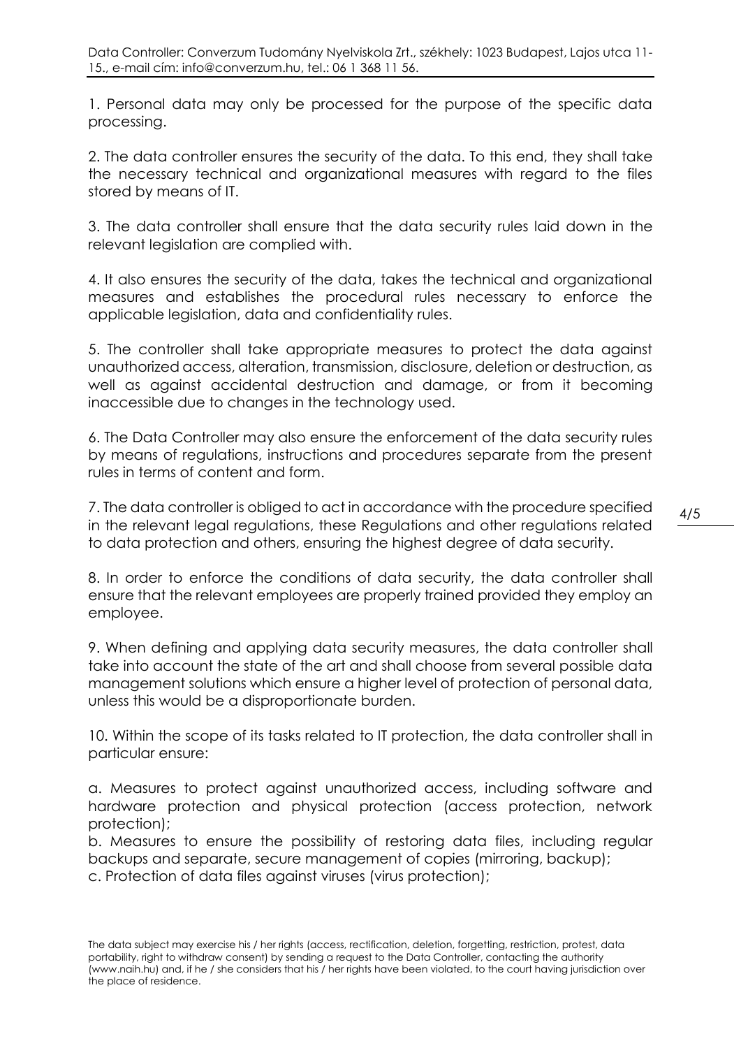1. Personal data may only be processed for the purpose of the specific data processing.

2. The data controller ensures the security of the data. To this end, they shall take the necessary technical and organizational measures with regard to the files stored by means of IT.

3. The data controller shall ensure that the data security rules laid down in the relevant legislation are complied with.

4. It also ensures the security of the data, takes the technical and organizational measures and establishes the procedural rules necessary to enforce the applicable legislation, data and confidentiality rules.

5. The controller shall take appropriate measures to protect the data against unauthorized access, alteration, transmission, disclosure, deletion or destruction, as well as against accidental destruction and damage, or from it becoming inaccessible due to changes in the technology used.

6. The Data Controller may also ensure the enforcement of the data security rules by means of regulations, instructions and procedures separate from the present rules in terms of content and form.

7. The data controller is obliged to act in accordance with the procedure specified in the relevant legal regulations, these Regulations and other regulations related to data protection and others, ensuring the highest degree of data security.

8. In order to enforce the conditions of data security, the data controller shall ensure that the relevant employees are properly trained provided they employ an employee.

9. When defining and applying data security measures, the data controller shall take into account the state of the art and shall choose from several possible data management solutions which ensure a higher level of protection of personal data, unless this would be a disproportionate burden.

10. Within the scope of its tasks related to IT protection, the data controller shall in particular ensure:

a. Measures to protect against unauthorized access, including software and hardware protection and physical protection (access protection, network protection);

b. Measures to ensure the possibility of restoring data files, including regular backups and separate, secure management of copies (mirroring, backup); c. Protection of data files against viruses (virus protection);

The data subject may exercise his / her rights (access, rectification, deletion, forgetting, restriction, protest, data portability, right to withdraw consent) by sending a request to the Data Controller, contacting the authority (www.naih.hu) and, if he / she considers that his / her rights have been violated, to the court having jurisdiction over the place of residence.